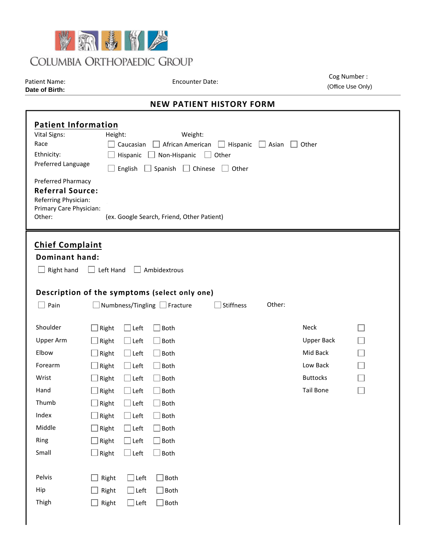

Patient Name: B. Bird Test Encounter Date: 8/4/2021 Cog Number : 1111118 (Office Use Only)

## **NEW PATIENT HISTORY FORM**

| Date of Birth:                                                                                                                                                                                                                                                                                                                                                                                                                                                |                                                                                                 |                                                                                                                                                                   |                                                                                                                                          |                  |        |                                                                                                 | (Office Use Only) |  |
|---------------------------------------------------------------------------------------------------------------------------------------------------------------------------------------------------------------------------------------------------------------------------------------------------------------------------------------------------------------------------------------------------------------------------------------------------------------|-------------------------------------------------------------------------------------------------|-------------------------------------------------------------------------------------------------------------------------------------------------------------------|------------------------------------------------------------------------------------------------------------------------------------------|------------------|--------|-------------------------------------------------------------------------------------------------|-------------------|--|
| <b>NEW PATIENT HISTORY FORM</b>                                                                                                                                                                                                                                                                                                                                                                                                                               |                                                                                                 |                                                                                                                                                                   |                                                                                                                                          |                  |        |                                                                                                 |                   |  |
| <b>Patient Information</b><br><b>Vital Signs:</b><br>Height:<br>Weight:<br>Race<br>Caucasian<br>African American   Hispanic<br>Asian<br>$\Box$ Other<br>$\perp$<br>Ethnicity:<br>Hispanic<br>Non-Hispanic<br>$\Box$ Other<br>Preferred Language<br>English<br>Spanish $\Box$ Chinese<br>    Other<br>Preferred Pharmacy<br><b>Referral Source:</b><br>Referring Physician:<br>Primary Care Physician:<br>Other:<br>(ex. Google Search, Friend, Other Patient) |                                                                                                 |                                                                                                                                                                   |                                                                                                                                          |                  |        |                                                                                                 |                   |  |
| <b>Chief Complaint</b><br><b>Dominant hand:</b><br>Right hand<br>Description of the symptoms (select only one)<br>$\Box$ Pain                                                                                                                                                                                                                                                                                                                                 | Left Hand                                                                                       |                                                                                                                                                                   | Ambidextrous<br>Numbness/Tingling Fracture                                                                                               | <b>Stiffness</b> | Other: |                                                                                                 |                   |  |
| Shoulder<br>Upper Arm<br>Elbow<br>Forearm<br>Wrist<br>Hand<br>Thumb<br>Index<br>Middle<br>Ring<br>Small                                                                                                                                                                                                                                                                                                                                                       | Right<br>Right<br>Right<br>Right<br>Right<br>Right<br>Right<br>Right<br>Right<br>Right<br>Right | $\Box$ Left<br>$\Box$ Left<br>$\Box$ Left<br>$\Box$ Left<br>$\Box$ Left<br>$\Box$ Left<br>$\Box$ Left<br>$\Box$ Left<br>$\Box$ Left<br>$\Box$ Left<br>$\Box$ Left | Both<br><b>Both</b><br>$]$ Both<br>Both<br>$]$ Both<br>Both<br><b>Both</b><br><b>Both</b><br>$\mathsf{\,]}$ Both<br><b>Both</b><br>∫Both |                  |        | <b>Neck</b><br><b>Upper Back</b><br>Mid Back<br>Low Back<br><b>Buttocks</b><br><b>Tail Bone</b> |                   |  |
| Pelvis<br>Hip<br>Thigh                                                                                                                                                                                                                                                                                                                                                                                                                                        | Right<br>Right<br>Right                                                                         | $\Box$ Left<br>$\Box$ Left<br>$\Box$ Left                                                                                                                         | $\Box$ Both<br>$\Box$ Both<br>$\Box$ Both                                                                                                |                  |        |                                                                                                 |                   |  |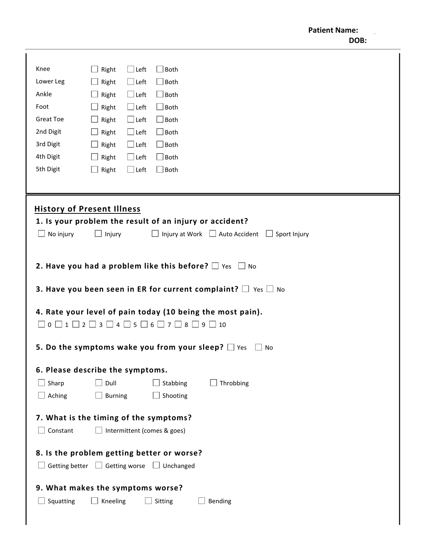| Knee                                                                       | Right          | $\Box$ Left | Both                        |                                                                                |  |
|----------------------------------------------------------------------------|----------------|-------------|-----------------------------|--------------------------------------------------------------------------------|--|
| Lower Leg                                                                  | Right          | $\Box$ Left | $\exists$ Both              |                                                                                |  |
| Ankle                                                                      | Right          | $\Box$ Left | $\Box$ Both                 |                                                                                |  |
| Foot                                                                       | Right          | $\Box$ Left | $\Box$ Both                 |                                                                                |  |
| <b>Great Toe</b>                                                           | Right          | $\Box$ Left | $\Box$ Both                 |                                                                                |  |
| 2nd Digit                                                                  | Right          | $\Box$ Left | $\Box$ Both                 |                                                                                |  |
| 3rd Digit                                                                  | Right          | $\Box$ Left | $\Box$ Both                 |                                                                                |  |
| 4th Digit                                                                  | Right          | $\Box$ Left | $\Box$ Both                 |                                                                                |  |
| 5th Digit                                                                  | Right          | $\Box$ Left | $\Box$ Both                 |                                                                                |  |
|                                                                            |                |             |                             |                                                                                |  |
|                                                                            |                |             |                             |                                                                                |  |
| <b>History of Present Illness</b>                                          |                |             |                             |                                                                                |  |
|                                                                            |                |             |                             | 1. Is your problem the result of an injury or accident?                        |  |
| $\Box$ No injury                                                           | $\Box$ Injury  |             |                             | Injury at Work $\Box$ Auto Accident $\Box$ Sport Injury                        |  |
|                                                                            |                |             |                             |                                                                                |  |
|                                                                            |                |             |                             |                                                                                |  |
|                                                                            |                |             |                             | 2. Have you had a problem like this before? $\Box$ Yes $\Box$ No               |  |
|                                                                            |                |             |                             |                                                                                |  |
|                                                                            |                |             |                             | <b>3. Have you been seen in ER for current complaint?</b> $\Box$ Yes $\Box$ No |  |
|                                                                            |                |             |                             |                                                                                |  |
| 4. Rate your level of pain today (10 being the most pain).                 |                |             |                             |                                                                                |  |
| $0 \cup 1 \cup 2 \cup 3 \cup 4 \cup 5 \cup 6 \cup 7 \cup 8 \cup 9 \cup 10$ |                |             |                             |                                                                                |  |
|                                                                            |                |             |                             |                                                                                |  |
| 5. Do the symptoms wake you from your sleep? $\square$ Yes<br>$\Box$ No    |                |             |                             |                                                                                |  |
| 6. Please describe the symptoms.                                           |                |             |                             |                                                                                |  |
| Sharp                                                                      | Dull           |             | Stabbing                    | Throbbing                                                                      |  |
|                                                                            |                |             |                             |                                                                                |  |
| $\Box$ Aching                                                              | <b>Burning</b> |             | Shooting                    |                                                                                |  |
| 7. What is the timing of the symptoms?                                     |                |             |                             |                                                                                |  |
| $\Box$ Constant                                                            |                |             | Intermittent (comes & goes) |                                                                                |  |
|                                                                            |                |             |                             |                                                                                |  |
| 8. Is the problem getting better or worse?                                 |                |             |                             |                                                                                |  |
| Getting better $\Box$ Getting worse $\Box$ Unchanged                       |                |             |                             |                                                                                |  |
|                                                                            |                |             |                             |                                                                                |  |
| 9. What makes the symptoms worse?                                          |                |             |                             |                                                                                |  |
| Squatting                                                                  | Kneeling       |             | Sitting                     | Bending                                                                        |  |
|                                                                            |                |             |                             |                                                                                |  |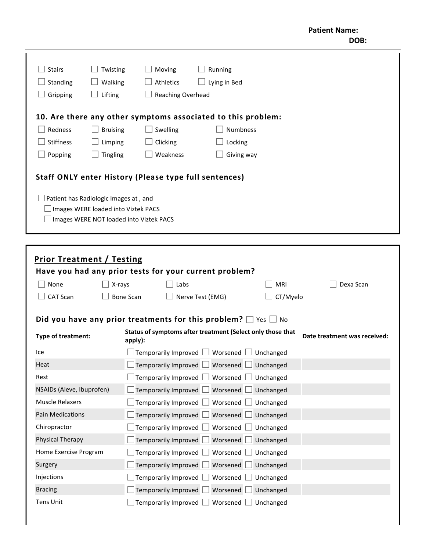| <b>Stairs</b><br>Standing<br>Gripping                                                                                                                                            | Twisting<br>Walking<br>Lifting | Moving<br>Athletics<br><b>Reaching Overhead</b> | Running<br>Lying in Bed                                      |  |
|----------------------------------------------------------------------------------------------------------------------------------------------------------------------------------|--------------------------------|-------------------------------------------------|--------------------------------------------------------------|--|
|                                                                                                                                                                                  |                                |                                                 | 10. Are there any other symptoms associated to this problem: |  |
| Redness                                                                                                                                                                          | <b>Bruising</b>                | Swelling                                        | <b>Numbness</b>                                              |  |
| Stiffness                                                                                                                                                                        | Limping                        | Clicking                                        | Locking                                                      |  |
| Popping                                                                                                                                                                          | Tingling                       | Weakness                                        | Giving way                                                   |  |
| Staff ONLY enter History (Please type full sentences)<br>Patient has Radiologic Images at, and<br>Images WERE loaded into Viztek PACS<br>Images WERE NOT loaded into Viztek PACS |                                |                                                 |                                                              |  |

| <b>Prior Treatment / Testing</b>                                                                                            |        |                                                                          |            |           |  |
|-----------------------------------------------------------------------------------------------------------------------------|--------|--------------------------------------------------------------------------|------------|-----------|--|
| Have you had any prior tests for your current problem?                                                                      |        |                                                                          |            |           |  |
| None                                                                                                                        | X-rays | Labs                                                                     | <b>MRI</b> | Dexa Scan |  |
| <b>CAT Scan</b><br><b>Bone Scan</b>                                                                                         |        | Nerve Test (EMG)                                                         | CT/Myelo   |           |  |
|                                                                                                                             |        | Did you have any prior treatments for this problem? $\Box$ Yes $\Box$ No |            |           |  |
| Status of symptoms after treatment (Select only those that<br>Type of treatment:<br>Date treatment was received:<br>apply): |        |                                                                          |            |           |  |
| Ice                                                                                                                         |        | Temporarily Improved $\Box$ Worsened $\Box$                              | Unchanged  |           |  |
| Heat                                                                                                                        |        | Worsened $\Box$<br>Temporarily Improved $\Box$                           | Unchanged  |           |  |
| Rest                                                                                                                        |        | Worsened $\Box$<br>Temporarily Improved $\Box$                           | Unchanged  |           |  |
| NSAIDs (Aleve, Ibuprofen)                                                                                                   |        | Temporarily Improved<br>Worsened                                         | Unchanged  |           |  |
| <b>Muscle Relaxers</b>                                                                                                      |        | Temporarily Improved<br>Worsened                                         | Unchanged  |           |  |
| <b>Pain Medications</b>                                                                                                     |        | Temporarily Improved<br>Worsened                                         | Unchanged  |           |  |
| Chiropractor                                                                                                                |        | Worsened<br>Temporarily Improved $\Box$                                  | Unchanged  |           |  |
| Physical Therapy                                                                                                            |        | Worsened<br>Temporarily Improved                                         | Unchanged  |           |  |
| Home Exercise Program                                                                                                       |        | Temporarily Improved [<br>Worsened                                       | Unchanged  |           |  |
| Surgery                                                                                                                     |        | Temporarily Improved<br>Worsened                                         | Unchanged  |           |  |
| Injections                                                                                                                  |        | Temporarily Improved $\Box$<br>Worsened                                  | Unchanged  |           |  |
| <b>Bracing</b>                                                                                                              |        | Temporarily Improved<br>Worsened                                         | Unchanged  |           |  |
| Tens Unit                                                                                                                   |        | $\Box$ Temporarily Improved $\Box$ Worsened $\Box$                       | Unchanged  |           |  |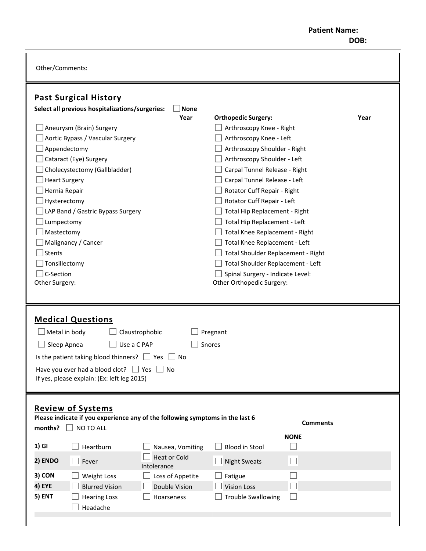## **Patient Name: DOB:**

Other/Comments:

| <b>Past Surgical History</b>                                                              |                                                     |
|-------------------------------------------------------------------------------------------|-----------------------------------------------------|
| <b>None</b><br>Select all previous hospitalizations/surgeries:                            | Year                                                |
| Year<br>Aneurysm (Brain) Surgery                                                          | <b>Orthopedic Surgery:</b>                          |
| Aortic Bypass / Vascular Surgery                                                          | Arthroscopy Knee - Right<br>Arthroscopy Knee - Left |
| Appendectomy                                                                              | Arthroscopy Shoulder - Right                        |
| Cataract (Eye) Surgery                                                                    | Arthroscopy Shoulder - Left                         |
| Cholecystectomy (Gallbladder)                                                             | Carpal Tunnel Release - Right                       |
| <b>Heart Surgery</b>                                                                      | Carpal Tunnel Release - Left                        |
| Hernia Repair                                                                             | Rotator Cuff Repair - Right                         |
| Hysterectomy                                                                              | Rotator Cuff Repair - Left                          |
| LAP Band / Gastric Bypass Surgery                                                         | Total Hip Replacement - Right                       |
| Lumpectomy                                                                                | Total Hip Replacement - Left                        |
| Mastectomy                                                                                | Total Knee Replacement - Right                      |
| Malignancy / Cancer                                                                       | Total Knee Replacement - Left                       |
| <b>Stents</b>                                                                             | Total Shoulder Replacement - Right                  |
| Tonsillectomy                                                                             | Total Shoulder Replacement - Left                   |
| C-Section                                                                                 | Spinal Surgery - Indicate Level:                    |
| Other Surgery:                                                                            | Other Orthopedic Surgery:                           |
|                                                                                           |                                                     |
|                                                                                           |                                                     |
|                                                                                           |                                                     |
|                                                                                           |                                                     |
| <b>Medical Questions</b>                                                                  |                                                     |
| $\Box$ Metal in body<br>Claustrophobic                                                    | Pregnant                                            |
| Use a C PAP<br>Sleep Apnea                                                                | Snores                                              |
| Is the patient taking blood thinners? $\Box$ Yes<br>No                                    |                                                     |
| <b>No</b>                                                                                 |                                                     |
| Have you ever had a blood clot? $\Box$ Yes<br>If yes, please explain: (Ex: left leg 2015) |                                                     |
|                                                                                           |                                                     |
|                                                                                           |                                                     |
| <b>Review of Systems</b>                                                                  |                                                     |
| Please indicate if you experience any of the following symptoms in the last 6             | <b>Comments</b>                                     |
| $\Box$ NO TO ALL<br>months?                                                               |                                                     |
| 1) GI<br>Heartburn<br>Nausea, Vomiting                                                    | <b>NONE</b><br><b>Blood in Stool</b>                |
| <b>Heat or Cold</b><br>2) ENDO<br>Fever                                                   | $\Box$<br><b>Night Sweats</b>                       |
| Intolerance<br>3) CON                                                                     |                                                     |
| Weight Loss<br>Loss of Appetite<br>4) EYE<br>Double Vision<br><b>Blurred Vision</b>       | Fatigue<br><b>Vision Loss</b><br>$\mathcal{L}$      |
| 5) ENT<br><b>Hearing Loss</b><br>Hoarseness                                               | <b>Trouble Swallowing</b>                           |
| Headache                                                                                  |                                                     |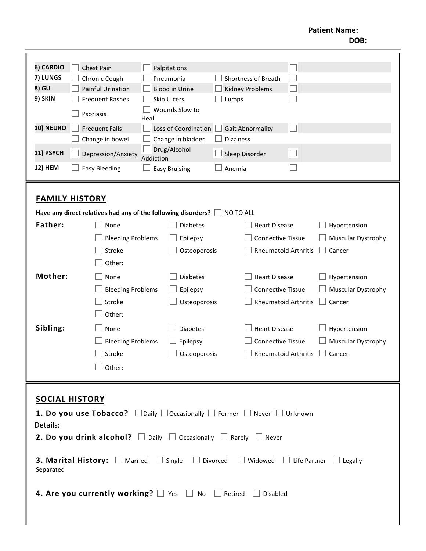**Patient Name: DOB:** 

| 6) CARDIO                                                                                                                                 | <b>Chest Pain</b>                                                                                                                                                                         | Palpitations              |                                                    | T.                                                                                                                                               |                                                                                    |
|-------------------------------------------------------------------------------------------------------------------------------------------|-------------------------------------------------------------------------------------------------------------------------------------------------------------------------------------------|---------------------------|----------------------------------------------------|--------------------------------------------------------------------------------------------------------------------------------------------------|------------------------------------------------------------------------------------|
| 7) LUNGS                                                                                                                                  | Chronic Cough                                                                                                                                                                             | Pneumonia                 |                                                    | Shortness of Breath                                                                                                                              |                                                                                    |
| 8) GU                                                                                                                                     | <b>Painful Urination</b>                                                                                                                                                                  | <b>Blood in Urine</b>     |                                                    | $\Box$<br><b>Kidney Problems</b>                                                                                                                 |                                                                                    |
| 9) SKIN                                                                                                                                   | <b>Frequent Rashes</b>                                                                                                                                                                    | <b>Skin Ulcers</b>        | Lumps                                              |                                                                                                                                                  |                                                                                    |
|                                                                                                                                           | Psoriasis                                                                                                                                                                                 | Wounds Slow to<br>Heal    |                                                    |                                                                                                                                                  |                                                                                    |
| 10) NEURO                                                                                                                                 | <b>Frequent Falls</b>                                                                                                                                                                     | Loss of Coordination      |                                                    | $\Box$<br><b>Gait Abnormality</b>                                                                                                                |                                                                                    |
|                                                                                                                                           | Change in bowel                                                                                                                                                                           | Change in bladder         |                                                    | <b>Dizziness</b>                                                                                                                                 |                                                                                    |
| 11) PSYCH                                                                                                                                 | Depression/Anxiety                                                                                                                                                                        | Drug/Alcohol<br>Addiction |                                                    | $\Box$<br>Sleep Disorder                                                                                                                         |                                                                                    |
| 12) HEM                                                                                                                                   | <b>Easy Bleeding</b>                                                                                                                                                                      | <b>Easy Bruising</b>      | Anemia                                             |                                                                                                                                                  |                                                                                    |
| <b>Father:</b><br>Mother:                                                                                                                 | <b>FAMILY HISTORY</b><br>Have any direct relatives had any of the following disorders? $\Box$<br>None<br><b>Bleeding Problems</b><br>Stroke<br>Other:<br>None<br><b>Bleeding Problems</b> | Epilepsy<br>Epilepsy      | <b>Diabetes</b><br>Osteoporosis<br><b>Diabetes</b> | NO TO ALL<br><b>Heart Disease</b><br><b>Connective Tissue</b><br><b>Rheumatoid Arthritis</b><br><b>Heart Disease</b><br><b>Connective Tissue</b> | Hypertension<br>Muscular Dystrophy<br>Cancer<br>Hypertension<br>Muscular Dystrophy |
|                                                                                                                                           | Stroke<br>Other:                                                                                                                                                                          |                           | Osteoporosis                                       | <b>Rheumatoid Arthritis</b>                                                                                                                      | Cancer                                                                             |
| Sibling:                                                                                                                                  | None                                                                                                                                                                                      | <b>Diabetes</b>           |                                                    | <b>Heart Disease</b>                                                                                                                             | Hypertension                                                                       |
|                                                                                                                                           | <b>Bleeding Problems</b>                                                                                                                                                                  | Epilepsy                  |                                                    | <b>Connective Tissue</b>                                                                                                                         | Muscular Dystrophy                                                                 |
|                                                                                                                                           | Stroke                                                                                                                                                                                    |                           | Osteoporosis                                       | <b>Rheumatoid Arthritis</b>                                                                                                                      | Cancer                                                                             |
|                                                                                                                                           | Other:                                                                                                                                                                                    |                           |                                                    |                                                                                                                                                  |                                                                                    |
|                                                                                                                                           |                                                                                                                                                                                           |                           |                                                    |                                                                                                                                                  |                                                                                    |
| <b>SOCIAL HISTORY</b><br><b>1. Do you use Tobacco?</b> $\Box$ Daily $\Box$ Occasionally $\Box$ Former $\Box$ Never $\Box$ Unknown         |                                                                                                                                                                                           |                           |                                                    |                                                                                                                                                  |                                                                                    |
| Details:<br><b>2. Do you drink alcohol?</b> $\Box$ Daily $\Box$ Occasionally $\Box$ Rarely $\Box$ Never                                   |                                                                                                                                                                                           |                           |                                                    |                                                                                                                                                  |                                                                                    |
| <b>3. Marital History:</b> $\Box$ Married $\Box$ Single $\Box$ Divorced $\Box$ Widowed<br>$\Box$ Life Partner $\Box$ Legally<br>Separated |                                                                                                                                                                                           |                           |                                                    |                                                                                                                                                  |                                                                                    |
| 4. Are you currently working? $\Box$ Yes $\Box$ No $\Box$ Retired<br>$\Box$ Disabled                                                      |                                                                                                                                                                                           |                           |                                                    |                                                                                                                                                  |                                                                                    |